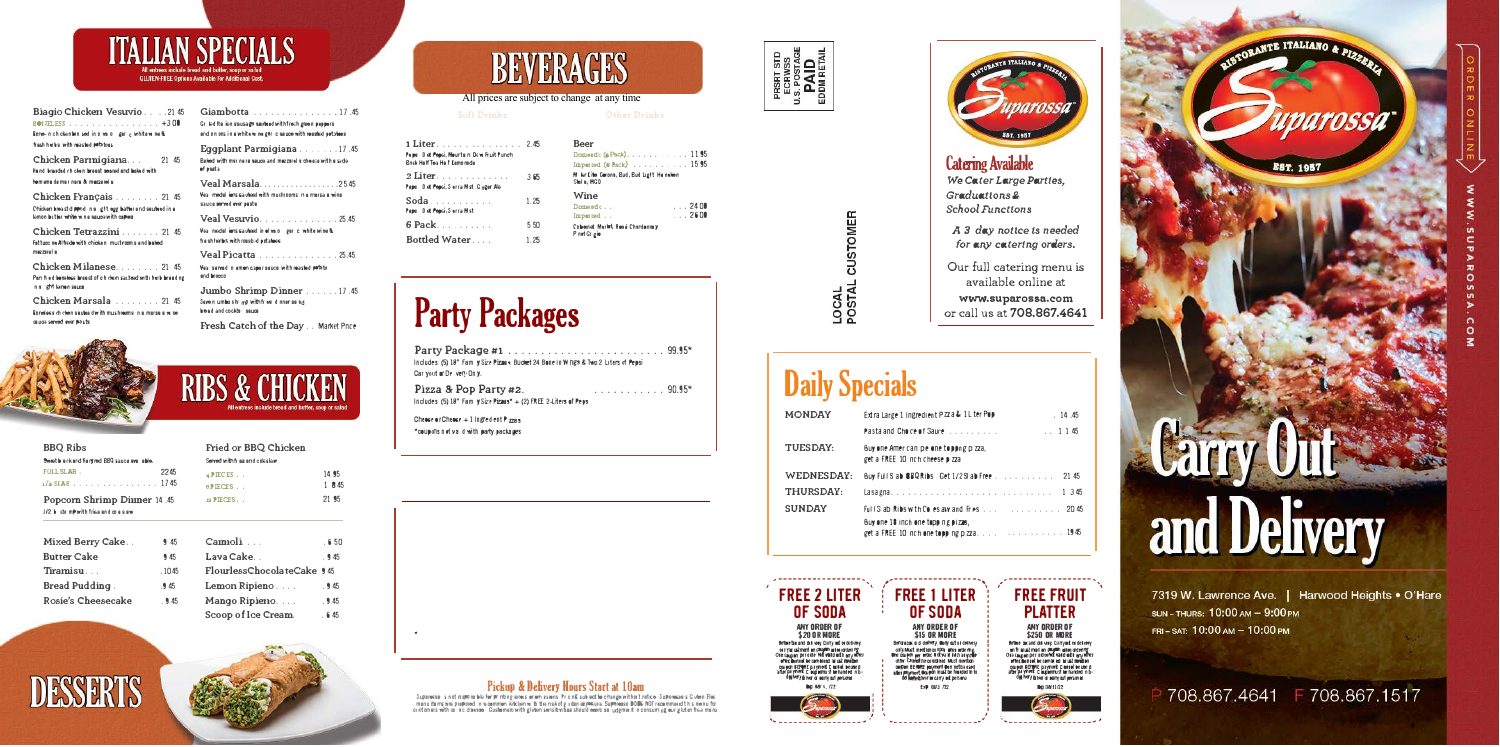### **ITALIAN SPECIALS GLUTEN-FREE Options Available For Additional Cost.**

Biagio Chicken Vesuvio . . . . 21 45

BOITELESS . . . . . . . . . . . . . . . . . 4300 Rome-nich cken binn sed in o valo geric white wine & frash harbs with reasted potatoes

Chicken Parmigiana... 21 45 Hand breaded chicken breast seared and baked with hom ama da mair nara & mozzarella

Chicken Français . . . . . . . . 21 45 Chicken breast dipped in a gift egg batter and saufeed in a lemon butter white wine saucewith capers

Chicken Tetrazzini . . . . . . . 21 45 Fattuce ne Alfrede with chicken must rooms and baked e lenezzaren

Chicken Milanese........ 21 45 Pan filed beneless breast of cihichen sauteed with herb breading n a ght leinen seuce

Chicken Marsala . . . . . . . . 21 45 Boneless chicken sautes dwith mushreoms in a marsale wine sauce served over pasts



| <b>BBQ Ribs</b>                                |      |
|------------------------------------------------|------|
| Sweet black and field red BBQ sauce ave lable. |      |
| FULL SLAB.                                     | 2245 |
| $1/2$ SLAB 1745                                |      |
| <b>Popcorn Shrimp Dinner 14.45</b>             |      |

|  | J/2 b str mp with fries and co a s aw |  |  |  |  |
|--|---------------------------------------|--|--|--|--|
|  |                                       |  |  |  |  |

| 545   |
|-------|
| 945   |
| .1045 |
| .945  |
| .945  |
|       |



| Giambotta 17.45<br>Griled Its ien sausage sambed with freshigmen pappers<br>and on ons in a white wine garlie sauce with reasted petatees |
|-------------------------------------------------------------------------------------------------------------------------------------------|
| <b>Eqqplant Parmiqiana</b> 17.45<br>Baked with mar nare sauce and meazarel a cheese with a side<br>of pasta                               |
| Veal Marsala2545<br>West medal ions saideed with mushrooms in a marsa a wine<br>sauce served over paste                                   |
| Veal Vesuvio25.45<br>Wearinedal ions saideed in olive of gen climbite wine &<br>fresh herbs with roasbed potaboos                         |
| Veal Picatta 25.45<br>West served in emion caper seuce with reasted potato<br>and brocco                                                  |
| Jumbo Shrimp Dinner 17.45<br>Serein umboshimP with fries dinner as ad<br>head and cockia sauce                                            |

Fresh Catch of the Day . . Market Price

### **RIBS & CHICK**

#### Fried or BBQ Chicken

| 14.95 |
|-------|
| 1 845 |
| 21.95 |
|       |

| Campoli                    | . 650 |
|----------------------------|-------|
| Lava Cake                  | .945  |
| FlourlessChocolateCake 945 |       |
| Lemon Ripieno              | .945  |
| Mango Ripieno              | .945  |
| Scoop of Ice Cream.        | .645  |
|                            |       |

## **BEVERAGES**

#### All prices are subject to change at any time

**Soft Drinks** 

| 1 Liter. 2.45<br><sup>v</sup> e pa D et Pepsi, Mourtain Dew Fruit Punch<br>Bnsk HelfTea Helf Cemonade |      | <b>Beer</b><br>Domestic (s)<br>Imperied (6 |
|-------------------------------------------------------------------------------------------------------|------|--------------------------------------------|
| 2 Liter.<br><sup>9</sup> eper Det Pepsi, Serra Mist Ginger Ale                                        | 365  | M kin Lite Cero<br>Stel a, MGO             |
| Soda<br>epa Det Pepsi, Sorra Mist                                                                     | 1.25 | Wine<br>Domestic.<br>Imported.             |
|                                                                                                       | 550  | <b>Cobernet Merle</b>                      |
| Bottled Water.                                                                                        | 1.25 | P not Gr gio                               |

# **Party Packages**

Includes (5) 18" Fam y Size Pizza + Bucket 24 Bone in W ngs & Two 2 Liters of Pepsi Car yout or Delivery Only.

Pizza & Pop Party #2. Includes (5) 18" Fam  $\sqrt{size}$  Pizzes\* + (2) FREE 2-Liters of Peps

Cheese or Cheese  $+1$  in gred ent P zza s \*coupons not valid with party packages.

### Pickup & Delivery Hours Start at 10am

Supercess s not mapons ble for primiting areas orients as Pricing subject to change without notice. Supercess s G when Free manu dams ara prepored in a common kitchen with the nakofiginitan exposure. Suparesso DODS NOT recommend this menu for ici intomiers with ce i sic disesse. Customent with glivlen sensitivities should event as "udgment" in consuming our glut en free manu



her Drinks

 $(Padc)$ , , , , , , , , , , , 1195 Pack)  $\ldots$  . . . . . . . 15 95 ons, Bud, Bud Light, He nel<del>io</del>n

 $\ldots$  2400  $\ldots$  2600 et, Reså Chardennay

. . . . . . . . . . . 90.95\*



LOCAL<br>POSTAL CUSTOMER

### **Daily Specials**

| <b>MONDAY</b>     | Extra Large 1 Ingredient Pzz a & 1L ter Pop                                                  | .14.45  |
|-------------------|----------------------------------------------------------------------------------------------|---------|
|                   | <b>Pastaland Choice of Saure Allen Activities</b><br>$\ldots$ 1 1 45                         |         |
| <b>TUESDAY:</b>   | Buy one American pelone to pong p zza,<br>get a FREE 10 nch cheese p zza                     |         |
| <b>WEDNESDAY:</b> | Buy Full S ab BBQ Ribs Get 1/2SI ab Free 21 45                                               |         |
| <b>THURSDAY:</b>  |                                                                                              | 1 3 4 5 |
| <b>SUNDAY</b>     |                                                                                              |         |
|                   | Buy one 18 inch one topp ng pizza,<br>get a FREE 10 nch one topping $p \overline{z}$ a. 1945 |         |



**\$20 OR MORE** Before tax and delivery. Carry out to delivery e i y la ustment on coupon interretation en de coupon per orde visit setti until amp objet de composition of the demonstration of the composition coupon BEPORTE payment C earlot be used<br>after payment C ouponmust be handed in bi<br>doll her y driver or oany out personal



**FREE 1 LITER** OF SODA **ANY ORDER OF \$15 OR MORE** yexter to further spotter a westerped off Must merkianco upon urben orde ring.<br>One couglen per order Mickva il holman goude other Council the combined Must member corpon BERRAE paryment than notbe used abel payment Coupon must be harded in to

Exp 08/3 722

\*\*\*\*\*\*\*\*\*\*\*\*\*\*\*\*\*\*\*<sup>\*</sup>

### **FREE FRUIT PLATTER**

 $\lambda$  ------------------- $\lambda$ 

arossa

EST. 1957

**Catering Available** 

Graduations&

School Functions

We Cater Large Parties,

A 3 day notice is needed

for any catering orders.

Our full catering menu is

available online at

www.suparossa.com

or call us at 708.867.4641

ANY ORDER OF \$250 OR MORE Before acand delivery Carryord en delivery en fr Mustmad en beginn miter architecture<br>Ora caupen per ordentida vard mite any editer<br>offen dennet be combi ed. Mustmadon coupon BEPORE payment C entook be use d<br>after payment C ouponmust be handed in bi<br>del ivery taiwer or ourry out personal Dig 08/33/22



7319 W. Lawrence Ave. | Harwood Heights . O'Hare SUN-THURS: 10:00 AM - 9:00 PM FRI-SAT: 10:00 AM - 10:00 PM



EST. 1957

# and Delivery